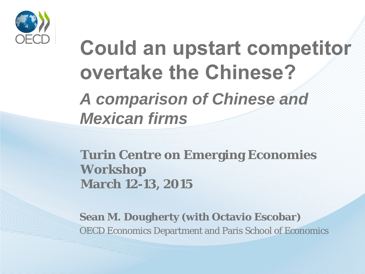

# **Could an upstart competitor overtake the Chinese?**  *A comparison of Chinese and Mexican firms*

**Turin Centre on Emerging Economies Workshop March 12-13, 2015**

**Sean M. Dougherty (with Octavio Escobar)** OECD Economics Department and Paris School of Economics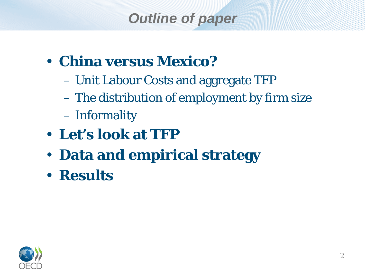## *Outline of paper*

- **China versus Mexico?** 
	- Unit Labour Costs and aggregate TFP
	- The distribution of employment by firm size
	- Informality
- **Let's look at TFP**
- **Data and empirical strategy**
- **Results**

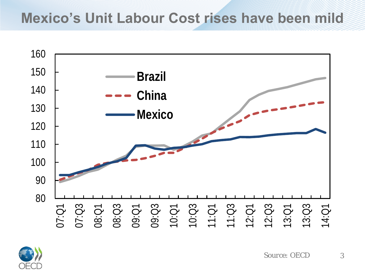#### **Mexico's Unit Labour Cost rises have been mild**



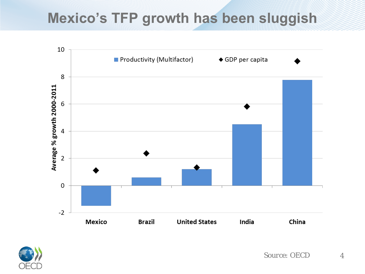#### **Mexico's TFP growth has been sluggish**



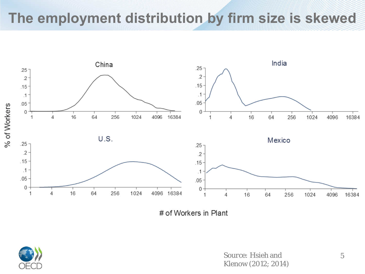#### **The employment distribution by firm size is skewed**



# of Workers in Plant



**Source:** Hsieh and 5 Klenow (2012; 2014)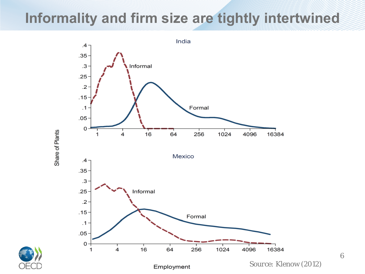#### **Informality and firm size are tightly intertwined**



Share of Plants



*Source:* Klenow (2012)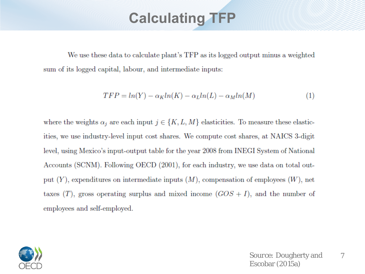#### **Calculating TFP**

We use these data to calculate plant's TFP as its logged output minus a weighted sum of its logged capital, labour, and intermediate inputs:

$$
TFP = ln(Y) - \alpha_K ln(K) - \alpha_L ln(L) - \alpha_M ln(M)
$$
\n(1)

where the weights  $\alpha_j$  are each input  $j \in \{K, L, M\}$  elasticities. To measure these elasticities, we use industry-level input cost shares. We compute cost shares, at NAICS 3-digit level, using Mexico's input-output table for the year 2008 from INEGI System of National Accounts (SCNM). Following OECD (2001), for each industry, we use data on total output  $(Y)$ , expenditures on intermediate inputs  $(M)$ , compensation of employees  $(W)$ , net taxes  $(T)$ , gross operating surplus and mixed income  $(GOS + I)$ , and the number of employees and self-employed.

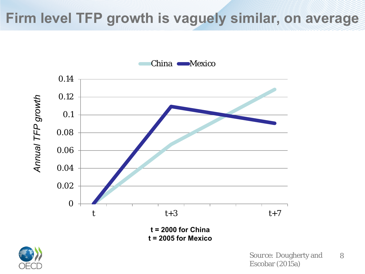#### **Firm level TFP growth is vaguely similar, on average**



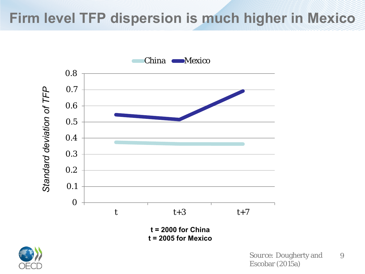#### **Firm level TFP dispersion is much higher in Mexico**



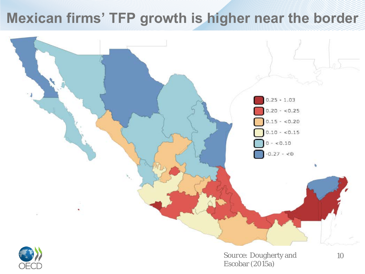#### **Mexican firms' TFP growth is higher near the border**





**Source:** Dougherty and 10 Escobar (2015a)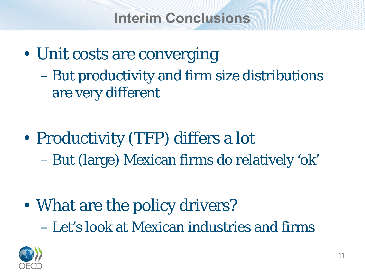**Interim Conclusions**

- Unit costs are converging – But productivity and firm size distributions are very different
- Productivity (TFP) differs a lot – But (large) Mexican firms do relatively 'ok'

• What are the policy drivers? – Let's look at Mexican industries and firms

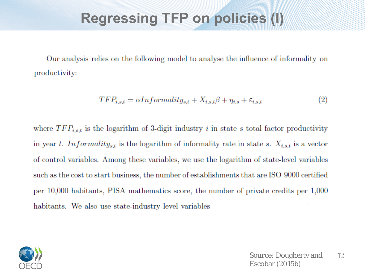#### **Regressing TFP on policies (I)**

Our analysis relies on the following model to analyse the influence of informality on productivity:

$$
TFP_{i,s,t} = \alpha Informatity_{s,t} + X_{i,s,t}\beta + \eta_{i,s} + \varepsilon_{i,s,t}
$$
\n<sup>(2)</sup>

where  $TFP_{i,s,t}$  is the logarithm of 3-digit industry i in state s total factor productivity in year t. Informality<sub>s,t</sub> is the logarithm of informality rate in state s.  $X_{i,s,t}$  is a vector of control variables. Among these variables, we use the logarithm of state-level variables such as the cost to start business, the number of establishments that are ISO-9000 certified per 10,000 habitants, PISA mathematics score, the number of private credits per 1,000 habitants. We also use state-industry level variables

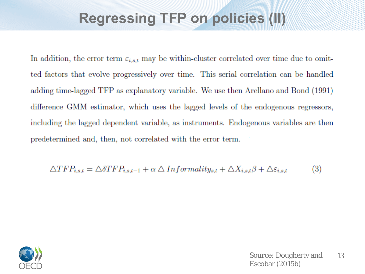#### **Regressing TFP on policies (II)**

In addition, the error term  $\varepsilon_{i,s,t}$  may be within-cluster correlated over time due to omitted factors that evolve progressively over time. This serial correlation can be handled adding time-lagged TFP as explanatory variable. We use then Arellano and Bond (1991) difference GMM estimator, which uses the lagged levels of the endogenous regressors, including the lagged dependent variable, as instruments. Endogenous variables are then predetermined and, then, not correlated with the error term.

$$
\triangle TFP_{i,s,t} = \triangle \delta TFP_{i,s,t-1} + \alpha \triangle Informality_{s,t} + \triangle X_{i,s,t}\beta + \triangle \varepsilon_{i,s,t}
$$
(3)

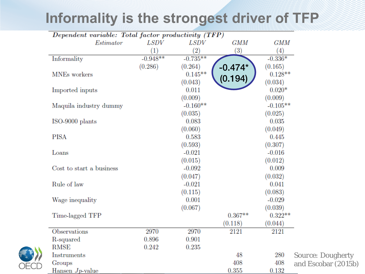### **Informality is the strongest driver of TFP**

| Dependent variable: Total factor productivity (TFP) |             |             |                   |            |                          |
|-----------------------------------------------------|-------------|-------------|-------------------|------------|--------------------------|
| Estimator                                           | <b>LSDV</b> | <i>LSDV</i> | <b>GMM</b>        | <b>GMM</b> |                          |
|                                                     | (1)         | (2)         | $\left( 3\right)$ | (4)        |                          |
| Informality                                         | $-0.948**$  | $-0.735**$  |                   | $-0.336*$  |                          |
|                                                     | (0.286)     | (0.264)     | $-0.474*$         | (0.165)    |                          |
| MNEs workers                                        |             | $0.145**$   |                   | $0.128**$  |                          |
|                                                     |             | (0.043)     | (0.194)           | (0.034)    |                          |
| Imported inputs                                     |             | 0.011       |                   | $0.020*$   |                          |
|                                                     |             | (0.009)     |                   | (0.009)    |                          |
| Maquila industry dummy                              |             | $-0.160**$  |                   | $-0.105**$ |                          |
|                                                     |             | (0.035)     |                   | (0.025)    |                          |
| ISO-9000 plants                                     |             | 0.083       |                   | 0.035      |                          |
|                                                     |             | (0.060)     |                   | (0.049)    |                          |
| <b>PISA</b>                                         |             | 0.583       |                   | 0.445      |                          |
|                                                     |             | (0.593)     |                   | (0.307)    |                          |
| Loans                                               |             | $-0.021$    |                   | $-0.016$   |                          |
|                                                     |             | (0.015)     |                   | (0.012)    |                          |
| Cost to start a business                            |             | $-0.092$    |                   | 0.009      |                          |
|                                                     |             | (0.047)     |                   | (0.032)    |                          |
| Rule of law                                         |             | $-0.021$    |                   | 0.041      |                          |
|                                                     |             | (0.115)     |                   | (0.083)    |                          |
| Wage inequality                                     |             | 0.001       |                   | $-0.029$   |                          |
|                                                     |             | (0.067)     |                   | (0.039)    |                          |
| Time-lagged TFP                                     |             |             | $0.367**$         | $0.322**$  |                          |
|                                                     |             |             | (0.118)           | (0.044)    |                          |
| Observations                                        | 2970        | 2970        | 2121              | 2121       |                          |
| R-squared                                           | 0.896       | 0.901       |                   |            |                          |
| <b>RMSE</b>                                         | 0.242       | 0.235       |                   |            |                          |
| Instruments                                         |             |             | 48                | 280        | <b>Source: Dougherty</b> |
| Groups                                              |             |             | 408               | 408        | and Escobar (2015b)      |
| Hansen $J_p$ -value                                 |             |             | 0.355             | 0.132      |                          |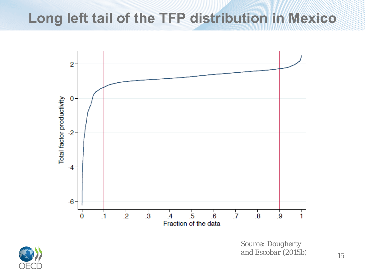#### **Long left tail of the TFP distribution in Mexico**



*Source: Dougherty and Escobar (2015b)* 15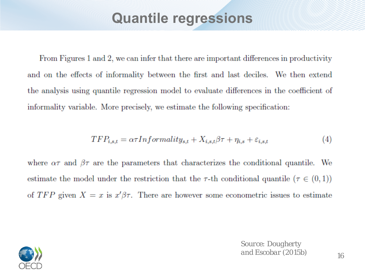#### **Quantile regressions**

From Figures 1 and 2, we can infer that there are important differences in productivity and on the effects of informality between the first and last deciles. We then extend the analysis using quantile regression model to evaluate differences in the coefficient of informality variable. More precisely, we estimate the following specification:

$$
TFP_{i,s,t} = \alpha \tau Informality_{s,t} + X_{i,s,t} \beta \tau + \eta_{i,s} + \varepsilon_{i,s,t}
$$
\n<sup>(4)</sup>

where  $\alpha\tau$  and  $\beta\tau$  are the parameters that characterizes the conditional quantile. We estimate the model under the restriction that the  $\tau$ -th conditional quantile ( $\tau \in (0,1)$ ) of TFP given  $X = x$  is  $x'\beta\tau$ . There are however some econometric issues to estimate



*Source: Dougherty and Escobar (2015b)*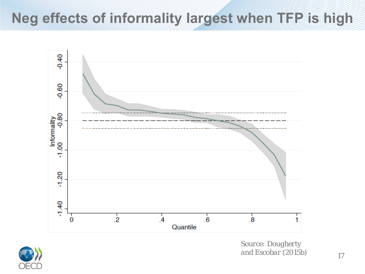## **Neg effects of informality largest when TFP is high**





*Source: Dougherty and Escobar (2015b)*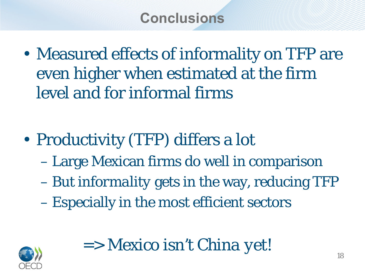• Measured effects of informality on TFP are even higher when estimated at the firm level and for informal firms

- Productivity (TFP) differs a lot
	- Large Mexican firms do well in comparison
	- But *informality* gets in the way, reducing TFP
	- Especially in the most efficient sectors



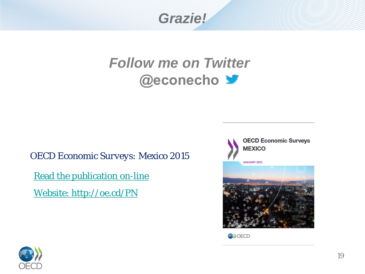*Grazie!*

#### *Follow me on Twitter*  **@econecho**

*OECD Economic Surveys: Mexico 2015*

**Read the publication on-line** 

[•Website: http://oe.cd/PN](http://www.oecd.org/eco/surveys/economic-survey-spain.htm)